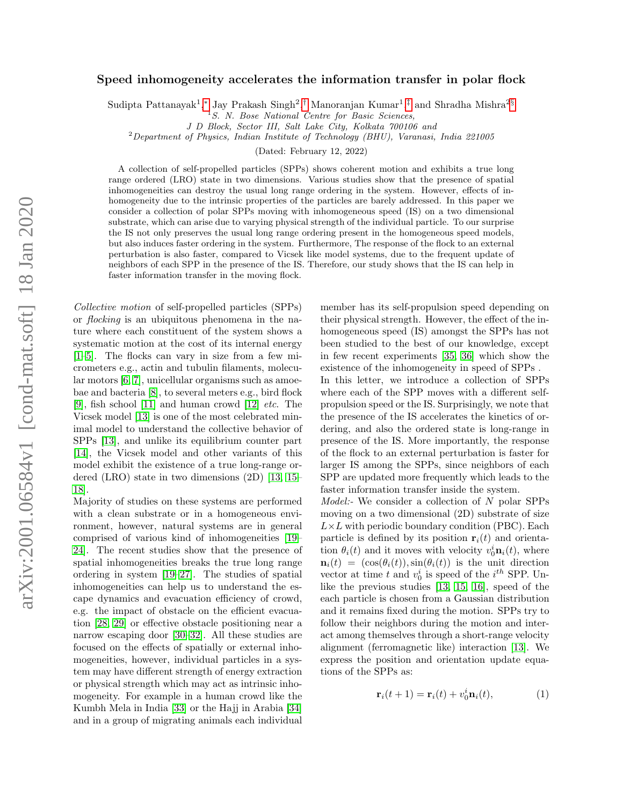## Speed inhomogeneity accelerates the information transfer in polar flock

Sudipta Pattanayak<sup>1</sup>,\* Jay Prakash Singh<sup>2</sup>,[†](#page-4-0) Manoranjan Kumar<sup>1</sup>,<sup>[‡](#page-4-1)</sup> and Shradha Mishra<sup>2[§](#page-4-2)</sup>

J D Block, Sector III, Salt Lake City, Kolkata 700106 and

<sup>2</sup>Department of Physics, Indian Institute of Technology (BHU), Varanasi, India 221005

(Dated: February 12, 2022)

A collection of self-propelled particles (SPPs) shows coherent motion and exhibits a true long range ordered (LRO) state in two dimensions. Various studies show that the presence of spatial inhomogeneities can destroy the usual long range ordering in the system. However, effects of inhomogeneity due to the intrinsic properties of the particles are barely addressed. In this paper we consider a collection of polar SPPs moving with inhomogeneous speed (IS) on a two dimensional substrate, which can arise due to varying physical strength of the individual particle. To our surprise the IS not only preserves the usual long range ordering present in the homogeneous speed models, but also induces faster ordering in the system. Furthermore, The response of the flock to an external perturbation is also faster, compared to Vicsek like model systems, due to the frequent update of neighbors of each SPP in the presence of the IS. Therefore, our study shows that the IS can help in faster information transfer in the moving flock.

Collective motion of self-propelled particles (SPPs) or flocking is an ubiquitous phenomena in the nature where each constituent of the system shows a systematic motion at the cost of its internal energy [\[1–](#page-4-3)[5\]](#page-4-4). The flocks can vary in size from a few micrometers e.g., actin and tubulin filaments, molecular motors [\[6,](#page-4-5) [7\]](#page-4-6), unicellular organisms such as amoebae and bacteria [\[8\]](#page-4-7), to several meters e.g., bird flock [\[9\]](#page-4-8), fish school [\[11\]](#page-4-9) and human crowd [\[12\]](#page-4-10)  $etc.$  The Vicsek model [\[13\]](#page-4-11) is one of the most celebrated minimal model to understand the collective behavior of SPPs [\[13\]](#page-4-11), and unlike its equilibrium counter part [\[14\]](#page-4-12), the Vicsek model and other variants of this model exhibit the existence of a true long-range ordered (LRO) state in two dimensions (2D) [\[13,](#page-4-11) [15–](#page-4-13) [18\]](#page-4-14).

Majority of studies on these systems are performed with a clean substrate or in a homogeneous environment, however, natural systems are in general comprised of various kind of inhomogeneities [\[19–](#page-4-15) [24\]](#page-4-16). The recent studies show that the presence of spatial inhomogeneities breaks the true long range ordering in system [\[19–](#page-4-15)[27\]](#page-4-17). The studies of spatial inhomogeneities can help us to understand the escape dynamics and evacuation efficiency of crowd, e.g. the impact of obstacle on the efficient evacuation [\[28,](#page-4-18) [29\]](#page-4-19) or effective obstacle positioning near a narrow escaping door [\[30–](#page-4-20)[32\]](#page-4-21). All these studies are focused on the effects of spatially or external inhomogeneities, however, individual particles in a system may have different strength of energy extraction or physical strength which may act as intrinsic inhomogeneity. For example in a human crowd like the Kumbh Mela in India [\[33\]](#page-4-22) or the Hajj in Arabia [\[34\]](#page-4-23) and in a group of migrating animals each individual member has its self-propulsion speed depending on their physical strength. However, the effect of the inhomogeneous speed (IS) amongst the SPPs has not been studied to the best of our knowledge, except in few recent experiments [\[35,](#page-4-24) [36\]](#page-4-25) which show the existence of the inhomogeneity in speed of SPPs . In this letter, we introduce a collection of SPPs where each of the SPP moves with a different selfpropulsion speed or the IS. Surprisingly, we note that the presence of the IS accelerates the kinetics of ordering, and also the ordered state is long-range in presence of the IS. More importantly, the response of the flock to an external perturbation is faster for larger IS among the SPPs, since neighbors of each SPP are updated more frequently which leads to the faster information transfer inside the system.

Model:- We consider a collection of N polar SPPs moving on a two dimensional (2D) substrate of size  $L\times L$  with periodic boundary condition (PBC). Each particle is defined by its position  $r_i(t)$  and orientation  $\theta_i(t)$  and it moves with velocity  $v_0^i \mathbf{n}_i(t)$ , where  $\mathbf{n}_i(t) = (\cos(\theta_i(t)), \sin(\theta_i(t))$  is the unit direction vector at time t and  $v_0^i$  is speed of the  $i^{th}$  SPP. Unlike the previous studies [\[13,](#page-4-11) [15,](#page-4-13) [16\]](#page-4-26), speed of the each particle is chosen from a Gaussian distribution and it remains fixed during the motion. SPPs try to follow their neighbors during the motion and interact among themselves through a short-range velocity alignment (ferromagnetic like) interaction [\[13\]](#page-4-11). We express the position and orientation update equations of the SPPs as:

<span id="page-0-0"></span>
$$
\mathbf{r}_i(t+1) = \mathbf{r}_i(t) + v_0^i \mathbf{n}_i(t),\tag{1}
$$

 $1S$ . N. Bose National Centre for Basic Sciences,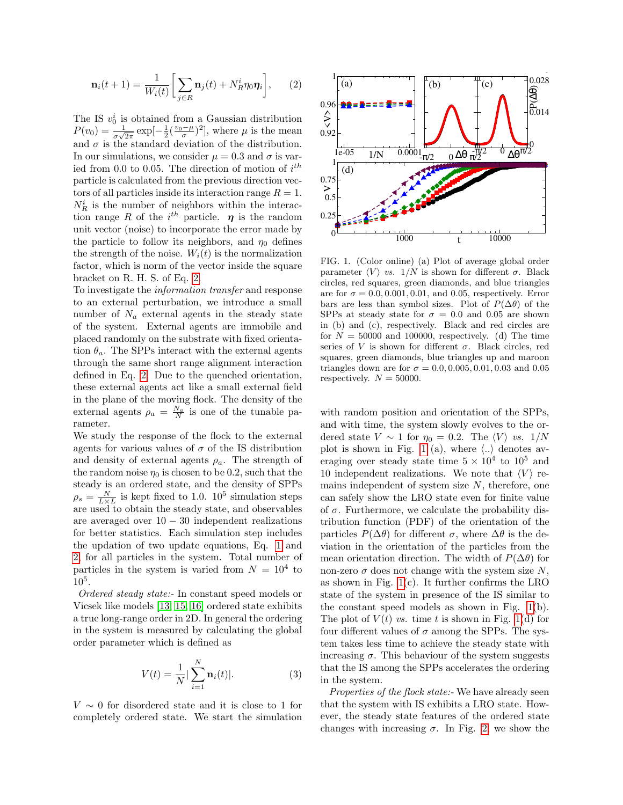<span id="page-1-0"></span>
$$
\mathbf{n}_i(t+1) = \frac{1}{W_i(t)} \bigg[ \sum_{j \in R} \mathbf{n}_j(t) + N_R^i \eta_0 \boldsymbol{\eta}_i \bigg], \qquad (2)
$$

The IS  $v_0^i$  is obtained from a Gaussian distribution  $P(v_0) = \frac{1}{\sigma\sqrt{2\pi}} \exp[-\frac{1}{2}(\frac{v_0-\mu}{\sigma})^2]$ , where  $\mu$  is the mean and  $\sigma$  is the standard deviation of the distribution. In our simulations, we consider  $\mu = 0.3$  and  $\sigma$  is varied from 0.0 to 0.05. The direction of motion of  $i^{th}$ particle is calculated from the previous direction vectors of all particles inside its interaction range  $R = 1$ .  $N_R^i$  is the number of neighbors within the interaction range R of the  $i^{th}$  particle.  $\eta$  is the random unit vector (noise) to incorporate the error made by the particle to follow its neighbors, and  $\eta_0$  defines the strength of the noise.  $W_i(t)$  is the normalization factor, which is norm of the vector inside the square bracket on R. H. S. of Eq. [2.](#page-1-0)

To investigate the information transfer and response to an external perturbation, we introduce a small number of  $N_a$  external agents in the steady state of the system. External agents are immobile and placed randomly on the substrate with fixed orientation  $\theta_a$ . The SPPs interact with the external agents through the same short range alignment interaction defined in Eq. [2.](#page-1-0) Due to the quenched orientation, these external agents act like a small external field in the plane of the moving flock. The density of the external agents  $\rho_a = \frac{N_a}{N}$  is one of the tunable parameter.

We study the response of the flock to the external agents for various values of  $\sigma$  of the IS distribution and density of external agents  $\rho_a$ . The strength of the random noise  $\eta_0$  is chosen to be 0.2, such that the steady is an ordered state, and the density of SPPs  $\rho_s = \frac{N}{L \times L}$  is kept fixed to 1.0. 10<sup>5</sup> simulation steps are used to obtain the steady state, and observables are averaged over  $10 - 30$  independent realizations for better statistics. Each simulation step includes the updation of two update equations, Eq. [1](#page-0-0) and [2,](#page-1-0) for all particles in the system. Total number of particles in the system is varied from  $N = 10^4$  to  $10^{5}$ .

Ordered steady state:- In constant speed models or Vicsek like models [\[13,](#page-4-11) [15,](#page-4-13) [16\]](#page-4-26) ordered state exhibits a true long-range order in 2D. In general the ordering in the system is measured by calculating the global order parameter which is defined as

$$
V(t) = \frac{1}{N} |\sum_{i=1}^{N} \mathbf{n}_i(t)|.
$$
 (3)

 $V \sim 0$  for disordered state and it is close to 1 for completely ordered state. We start the simulation



<span id="page-1-1"></span>FIG. 1. (Color online) (a) Plot of average global order parameter  $\langle V \rangle$  *vs.* 1/N is shown for different  $\sigma$ . Black circles, red squares, green diamonds, and blue triangles are for  $\sigma = 0.0, 0.001, 0.01,$  and 0.05, respectively. Error bars are less than symbol sizes. Plot of  $P(\Delta\theta)$  of the SPPs at steady state for  $\sigma = 0.0$  and 0.05 are shown in (b) and (c), respectively. Black and red circles are for  $N = 50000$  and 100000, respectively. (d) The time series of V is shown for different  $\sigma$ . Black circles, red squares, green diamonds, blue triangles up and maroon triangles down are for  $\sigma = 0.0, 0.005, 0.01, 0.03$  and 0.05 respectively.  $N = 50000$ .

with random position and orientation of the SPPs, and with time, the system slowly evolves to the ordered state  $V \sim 1$  for  $\eta_0 = 0.2$ . The  $\langle V \rangle$  vs.  $1/N$ plot is shown in Fig. [1](#page-1-1) (a), where  $\langle .. \rangle$  denotes averaging over steady state time  $5 \times 10^4$  to  $10^5$  and 10 independent realizations. We note that  $\langle V \rangle$  remains independent of system size  $N$ , therefore, one can safely show the LRO state even for finite value of  $\sigma$ . Furthermore, we calculate the probability distribution function (PDF) of the orientation of the particles  $P(\Delta\theta)$  for different  $\sigma$ , where  $\Delta\theta$  is the deviation in the orientation of the particles from the mean orientation direction. The width of  $P(\Delta\theta)$  for non-zero  $\sigma$  does not change with the system size N, as shown in Fig.  $1(c)$ . It further confirms the LRO state of the system in presence of the IS similar to the constant speed models as shown in Fig. [1\(](#page-1-1)b). The plot of  $V(t)$  vs. time t is shown in Fig. [1\(](#page-1-1)d) for four different values of  $\sigma$  among the SPPs. The system takes less time to achieve the steady state with increasing  $\sigma$ . This behaviour of the system suggests that the IS among the SPPs accelerates the ordering in the system.

Properties of the flock state:- We have already seen that the system with IS exhibits a LRO state. However, the steady state features of the ordered state changes with increasing  $\sigma$ . In Fig. [2,](#page-2-0) we show the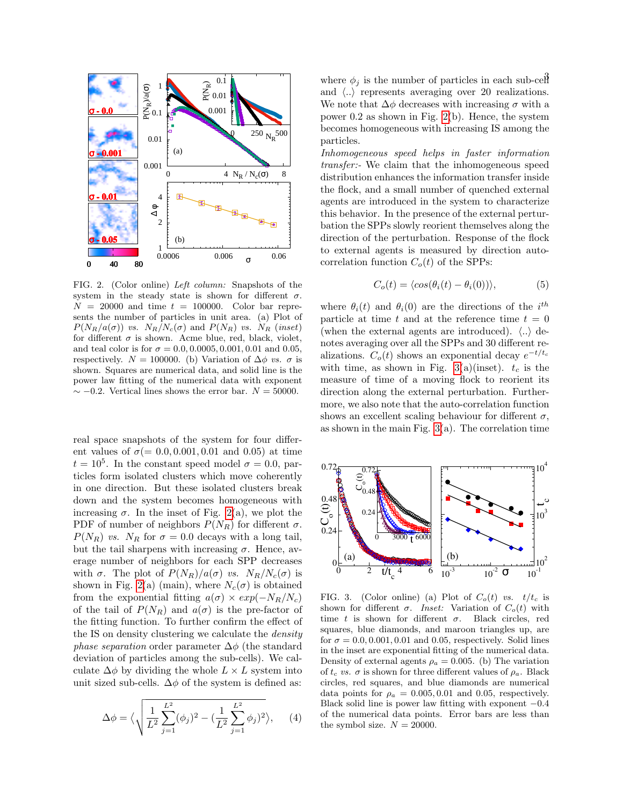

<span id="page-2-0"></span>FIG. 2. (Color online) Left column: Snapshots of the system in the steady state is shown for different  $\sigma$ .  $N = 20000$  and time  $t = 100000$ . Color bar represents the number of particles in unit area. (a) Plot of  $P(N_R/a(\sigma))$  vs.  $N_R/N_c(\sigma)$  and  $P(N_R)$  vs.  $N_R$  (inset) for different  $\sigma$  is shown. Acme blue, red, black, violet, and teal color is for  $\sigma = 0.0, 0.0005, 0.001, 0.01$  and 0.05, respectively.  $N = 100000$ . (b) Variation of  $\Delta \phi$  vs.  $\sigma$  is shown. Squares are numerical data, and solid line is the power law fitting of the numerical data with exponent  $\sim$  −0.2. Vertical lines shows the error bar.  $N = 50000$ .

real space snapshots of the system for four different values of  $\sigma(= 0.0, 0.001, 0.01, 0.01)$  and 0.05) at time  $t = 10^5$ . In the constant speed model  $\sigma = 0.0$ , particles form isolated clusters which move coherently in one direction. But these isolated clusters break down and the system becomes homogeneous with increasing  $\sigma$ . In the inset of Fig. [2\(](#page-2-0)a), we plot the PDF of number of neighbors  $P(N_R)$  for different  $\sigma$ .  $P(N_R)$  vs.  $N_R$  for  $\sigma = 0.0$  decays with a long tail, but the tail sharpens with increasing  $\sigma$ . Hence, average number of neighbors for each SPP decreases with  $\sigma$ . The plot of  $P(N_R)/a(\sigma)$  vs.  $N_R/N_c(\sigma)$  is shown in Fig. [2\(](#page-2-0)a) (main), where  $N_c(\sigma)$  is obtained from the exponential fitting  $a(\sigma) \times exp(-N_R/N_c)$ of the tail of  $P(N_R)$  and  $a(\sigma)$  is the pre-factor of the fitting function. To further confirm the effect of the IS on density clustering we calculate the density *phase separation* order parameter  $\Delta\phi$  (the standard deviation of particles among the sub-cells). We calculate  $\Delta \phi$  by dividing the whole  $L \times L$  system into unit sized sub-cells.  $\Delta \phi$  of the system is defined as:

$$
\Delta \phi = \langle \sqrt{\frac{1}{L^2} \sum_{j=1}^{L^2} (\phi_j)^2 - (\frac{1}{L^2} \sum_{j=1}^{L^2} \phi_j)^2} \rangle, \quad (4)
$$

where  $\phi_j$  is the number of particles in each sub-cell and  $\langle .. \rangle$  represents averaging over 20 realizations. We note that  $\Delta \phi$  decreases with increasing  $\sigma$  with a power 0.2 as shown in Fig. [2\(](#page-2-0)b). Hence, the system becomes homogeneous with increasing IS among the particles.

Inhomogeneous speed helps in faster information transfer:- We claim that the inhomogeneous speed distribution enhances the information transfer inside the flock, and a small number of quenched external agents are introduced in the system to characterize this behavior. In the presence of the external perturbation the SPPs slowly reorient themselves along the direction of the perturbation. Response of the flock to external agents is measured by direction autocorrelation function  $C_o(t)$  of the SPPs:

$$
C_o(t) = \langle \cos(\theta_i(t) - \theta_i(0)) \rangle,
$$
 (5)

where  $\theta_i(t)$  and  $\theta_i(0)$  are the directions of the i<sup>th</sup> particle at time t and at the reference time  $t = 0$ (when the external agents are introduced).  $\langle .. \rangle$  denotes averaging over all the SPPs and 30 different realizations.  $C_o(t)$  shows an exponential decay  $e^{-t/t_c}$ with time, as shown in Fig. [3\(](#page-2-1)a)(inset).  $t_c$  is the measure of time of a moving flock to reorient its direction along the external perturbation. Furthermore, we also note that the auto-correlation function shows an excellent scaling behaviour for different  $\sigma$ , as shown in the main Fig.  $3(a)$ . The correlation time



<span id="page-2-1"></span>FIG. 3. (Color online) (a) Plot of  $C_o(t)$  vs.  $t/t_c$  is shown for different  $\sigma$ . Inset: Variation of  $C_o(t)$  with time t is shown for different  $\sigma$ . Black circles, red squares, blue diamonds, and maroon triangles up, are for  $\sigma = 0.0, 0.001, 0.01$  and 0.05, respectively. Solid lines in the inset are exponential fitting of the numerical data. Density of external agents  $\rho_a = 0.005$ . (b) The variation of  $t_c$  vs.  $\sigma$  is shown for three different values of  $\rho_a$ . Black circles, red squares, and blue diamonds are numerical data points for  $\rho_a = 0.005, 0.01$  and 0.05, respectively. Black solid line is power law fitting with exponent  $-0.4$ of the numerical data points. Error bars are less than the symbol size.  $N = 20000$ .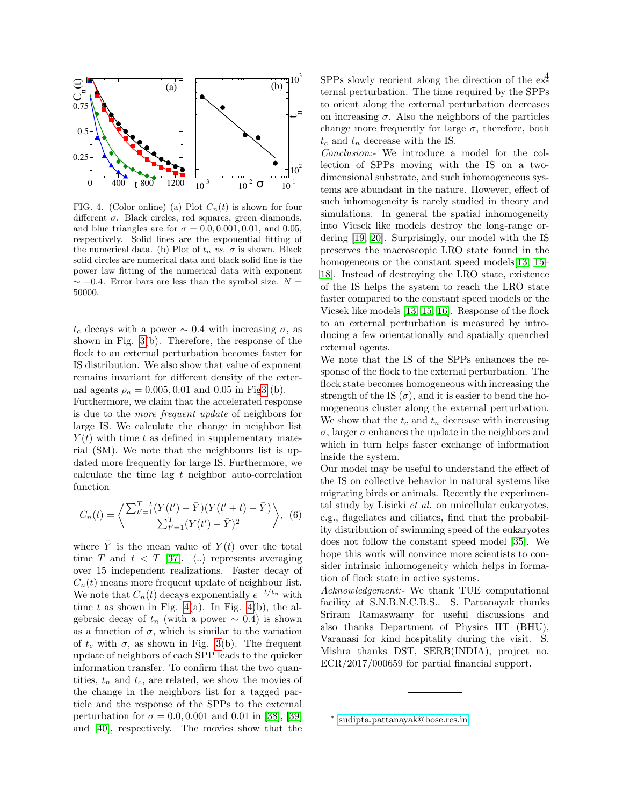

<span id="page-3-1"></span>FIG. 4. (Color online) (a) Plot  $C_n(t)$  is shown for four different  $\sigma$ . Black circles, red squares, green diamonds, and blue triangles are for  $\sigma = 0.0, 0.001, 0.01,$  and 0.05, respectively. Solid lines are the exponential fitting of the numerical data. (b) Plot of  $t_n$  vs.  $\sigma$  is shown. Black solid circles are numerical data and black solid line is the power law fitting of the numerical data with exponent  $\sim$  −0.4. Error bars are less than the symbol size.  $N =$ 50000.

 $t_c$  decays with a power  $\sim 0.4$  with increasing  $\sigma$ , as shown in Fig. [3\(](#page-2-1)b). Therefore, the response of the flock to an external perturbation becomes faster for IS distribution. We also show that value of exponent remains invariant for different density of the external agents  $\rho_a = 0.005, 0.01$  and 0.05 in Fi[g3](#page-2-1) (b).

Furthermore, we claim that the accelerated response is due to the more frequent update of neighbors for large IS. We calculate the change in neighbor list  $Y(t)$  with time t as defined in supplementary material (SM). We note that the neighbours list is updated more frequently for large IS. Furthermore, we calculate the time lag  $t$  neighbor auto-correlation function

$$
C_n(t) = \left\langle \frac{\sum_{t'=1}^{T-t} (Y(t') - \bar{Y})(Y(t'+t) - \bar{Y})}{\sum_{t'=1}^{T} (Y(t') - \bar{Y})^2} \right\rangle, (6)
$$

where  $\overline{Y}$  is the mean value of  $Y(t)$  over the total time T and  $t < T$  [\[37\]](#page-4-27).  $\langle .. \rangle$  represents averaging over 15 independent realizations. Faster decay of  $C_n(t)$  means more frequent update of neighbour list. We note that  $C_n(t)$  decays exponentially  $e^{-t/t_n}$  with time t as shown in Fig. [4\(](#page-3-1)a). In Fig. 4(b), the algebraic decay of  $t_n$  (with a power  $\sim 0.4$ ) is shown as a function of  $\sigma$ , which is similar to the variation of  $t_c$  with  $\sigma$ , as shown in Fig. [3\(](#page-2-1)b). The frequent update of neighbors of each SPP leads to the quicker information transfer. To confirm that the two quantities,  $t_n$  and  $t_c$ , are related, we show the movies of the change in the neighbors list for a tagged particle and the response of the SPPs to the external perturbation for  $\sigma = 0.0, 0.001$  and 0.01 in [\[38\]](#page-4-28), [\[39\]](#page-4-29) and [\[40\]](#page-4-30), respectively. The movies show that the

SPPs slowly reorient along the direction of the  $e^{\frac{4}{2}}$ ternal perturbation. The time required by the SPPs to orient along the external perturbation decreases on increasing  $\sigma$ . Also the neighbors of the particles change more frequently for large  $\sigma$ , therefore, both  $t_c$  and  $t_n$  decrease with the IS.

Conclusion:- We introduce a model for the collection of SPPs moving with the IS on a twodimensional substrate, and such inhomogeneous systems are abundant in the nature. However, effect of such inhomogeneity is rarely studied in theory and simulations. In general the spatial inhomogeneity into Vicsek like models destroy the long-range ordering [\[19,](#page-4-15) [20\]](#page-4-31). Surprisingly, our model with the IS preserves the macroscopic LRO state found in the homogeneous or the constant speed models [\[13,](#page-4-11) [15–](#page-4-13) [18\]](#page-4-14). Instead of destroying the LRO state, existence of the IS helps the system to reach the LRO state faster compared to the constant speed models or the Vicsek like models [\[13,](#page-4-11) [15,](#page-4-13) [16\]](#page-4-26). Response of the flock to an external perturbation is measured by introducing a few orientationally and spatially quenched external agents.

We note that the IS of the SPPs enhances the response of the flock to the external perturbation. The flock state becomes homogeneous with increasing the strength of the IS  $(\sigma)$ , and it is easier to bend the homogeneous cluster along the external perturbation. We show that the  $t_c$  and  $t_n$  decrease with increasing  $\sigma$ , larger  $\sigma$  enhances the update in the neighbors and which in turn helps faster exchange of information inside the system.

Our model may be useful to understand the effect of the IS on collective behavior in natural systems like migrating birds or animals. Recently the experimental study by Lisicki et al. on unicellular eukaryotes, e.g., flagellates and ciliates, find that the probability distribution of swimming speed of the eukaryotes does not follow the constant speed model [\[35\]](#page-4-24). We hope this work will convince more scientists to consider intrinsic inhomogeneity which helps in formation of flock state in active systems.

Acknowledgement:- We thank TUE computational facility at S.N.B.N.C.B.S.. S. Pattanayak thanks Sriram Ramaswamy for useful discussions and also thanks Department of Physics IIT (BHU), Varanasi for kind hospitality during the visit. S. Mishra thanks DST, SERB(INDIA), project no. ECR/2017/000659 for partial financial support.

<span id="page-3-0"></span><sup>∗</sup> [sudipta.pattanayak@bose.res.in](mailto:sudipta.pattanayak@bose.res.in)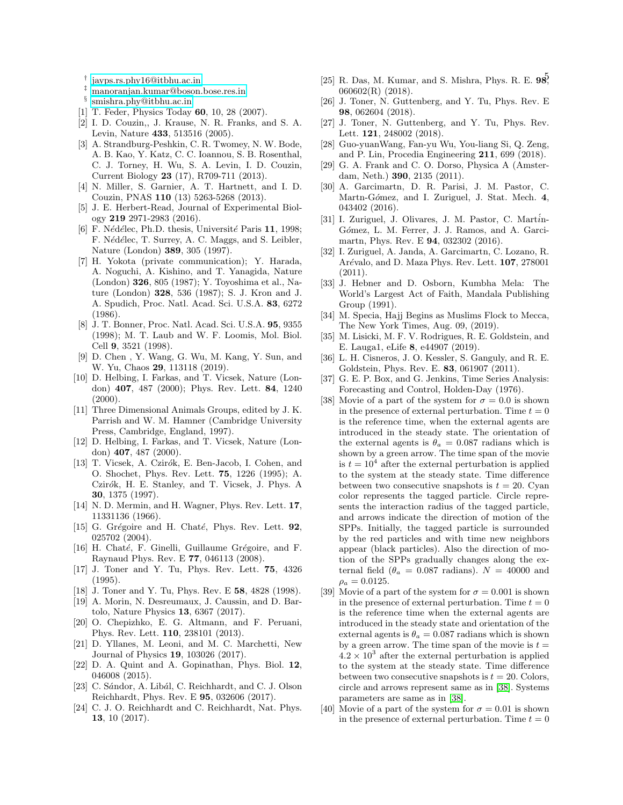- <span id="page-4-0"></span>
- <span id="page-4-17"></span><span id="page-4-1"></span>‡ [manoranjan.kumar@boson.bose.res.in](mailto:manoranjan.kumar@boson.bose.res.in)
- <span id="page-4-18"></span><span id="page-4-2"></span>§ [smishra.phy@itbhu.ac.in](mailto:smishra.phy@itbhu.ac.in)
- <span id="page-4-3"></span>[1] T. Feder, Physics Today 60, 10, 28 (2007).
- [2] I. D. Couzin,, J. Krause, N. R. Franks, and S. A. Levin, Nature 433, 513516 (2005).
- [3] A. Strandburg-Peshkin, C. R. Twomey, N. W. Bode, A. B. Kao, Y. Katz, C. C. Ioannou, S. B. Rosenthal, C. J. Torney, H. Wu, S. A. Levin, I. D. Couzin, Current Biology 23 (17), R709-711 (2013).
- <span id="page-4-20"></span><span id="page-4-19"></span>[4] N. Miller, S. Garnier, A. T. Hartnett, and I. D. Couzin, PNAS 110 (13) 5263-5268 (2013).
- <span id="page-4-4"></span>[5] J. E. Herbert-Read, Journal of Experimental Biology 219 2971-2983 (2016).
- <span id="page-4-5"></span>[6] F. Nédélec, Ph.D. thesis, Université Paris 11, 1998; F. Nédélec, T. Surrey, A. C. Maggs, and S. Leibler, Nature (London) 389, 305 (1997).
- <span id="page-4-22"></span><span id="page-4-21"></span><span id="page-4-6"></span>[7] H. Yokota (private communication); Y. Harada, A. Noguchi, A. Kishino, and T. Yanagida, Nature (London) 326, 805 (1987); Y. Toyoshima et al., Nature (London) 328, 536 (1987); S. J. Kron and J. A. Spudich, Proc. Natl. Acad. Sci. U.S.A. 83, 6272 (1986).
- <span id="page-4-24"></span><span id="page-4-23"></span><span id="page-4-7"></span>[8] J. T. Bonner, Proc. Natl. Acad. Sci. U.S.A. 95, 9355 (1998); M. T. Laub and W. F. Loomis, Mol. Biol. Cell 9, 3521 (1998).
- <span id="page-4-28"></span><span id="page-4-27"></span><span id="page-4-25"></span><span id="page-4-8"></span>[9] D. Chen , Y. Wang, G. Wu, M. Kang, Y. Sun, and W. Yu, Chaos 29, 113118 (2019).
- <span id="page-4-10"></span>[10] D. Helbing, I. Farkas, and T. Vicsek, Nature (London) 407, 487 (2000); Phys. Rev. Lett. 84, 1240  $(2000).$
- <span id="page-4-9"></span>[11] Three Dimensional Animals Groups, edited by J. K. Parrish and W. M. Hamner (Cambridge University Press, Cambridge, England, 1997).
- [12] D. Helbing, I. Farkas, and T. Vicsek, Nature (London) 407, 487 (2000).
- <span id="page-4-11"></span>[13] T. Vicsek, A. Czirók, E. Ben-Jacob, I. Cohen, and O. Shochet, Phys. Rev. Lett. 75, 1226 (1995); A. Czirók, H. E. Stanley, and T. Vicsek, J. Phys. A 30, 1375 (1997).
- <span id="page-4-12"></span>[14] N. D. Mermin, and H. Wagner, Phys. Rev. Lett. **17**, 11331136 (1966).
- <span id="page-4-13"></span>[15] G. Grégoire and H. Chaté, Phys. Rev. Lett.  $92$ , 025702 (2004).
- <span id="page-4-26"></span>[16] H. Chaté, F. Ginelli, Guillaume Grégoire, and F. Raynaud Phys. Rev. E 77, 046113 (2008).
- [17] J. Toner and Y. Tu, Phys. Rev. Lett. 75, 4326  $(1995)$ .
- <span id="page-4-29"></span><span id="page-4-14"></span>[18] J. Toner and Y. Tu, Phys. Rev. E 58, 4828 (1998).
- <span id="page-4-15"></span>[19] A. Morin, N. Desreumaux, J. Caussin, and D. Bartolo, Nature Physics 13, 6367 (2017).
- <span id="page-4-31"></span>[20] O. Chepizhko, E. G. Altmann, and F. Peruani, Phys. Rev. Lett. 110, 238101 (2013).
- [21] D. Yllanes, M. Leoni, and M. C. Marchetti, New Journal of Physics 19, 103026 (2017).
- [22] D. A. Quint and A. Gopinathan, Phys. Biol. 12, 046008 (2015).
- <span id="page-4-30"></span>[23] C. Sándor, A. Libál, C. Reichhardt, and C. J. Olson Reichhardt, Phys. Rev. E 95, 032606 (2017).
- <span id="page-4-16"></span>[24] C. J. O. Reichhardt and C. Reichhardt, Nat. Phys. 13, 10 (2017).
- <sup>†</sup> [jayps.rs.phy16@itbhu.ac.in](mailto:jayps.rs.phy16@itbhu.ac.in) [25] R. Das, M. Kumar, and S. Mishra, Phys. R. E.  $98\overline{5}$ 060602(R) (2018).
	- [26] J. Toner, N. Guttenberg, and Y. Tu, Phys. Rev. E 98, 062604 (2018).
	- [27] J. Toner, N. Guttenberg, and Y. Tu, Phys. Rev. Lett. 121, 248002 (2018).
	- [28] Guo-yuanWang, Fan-yu Wu, You-liang Si, Q. Zeng, and P. Lin, Procedia Engineering 211, 699 (2018).
	- [29] G. A. Frank and C. O. Dorso, Physica A (Amsterdam, Neth.) 390, 2135 (2011).
	- [30] A. Garcimartn, D. R. Parisi, J. M. Pastor, C. Martn-Gómez, and I. Zuriguel, J. Stat. Mech. 4, 043402 (2016).
	- [31] I. Zuriguel, J. Olivares, J. M. Pastor, C. Martin-Gómez, L. M. Ferrer, J. J. Ramos, and A. Garcimartn, Phys. Rev. E 94, 032302 (2016).
	- [32] I. Zuriguel, A. Janda, A. Garcimartn, C. Lozano, R. Arévalo, and D. Maza Phys. Rev. Lett. 107, 278001 (2011).
	- [33] J. Hebner and D. Osborn, Kumbha Mela: The World's Largest Act of Faith, Mandala Publishing Group (1991).
	- [34] M. Specia, Hajj Begins as Muslims Flock to Mecca, The New York Times, Aug. 09, (2019).
	- [35] M. Lisicki, M. F. V. Rodrigues, R. E. Goldstein, and E. Lauga1, eLife 8, e44907 (2019).
	- [36] L. H. Cisneros, J. O. Kessler, S. Ganguly, and R. E. Goldstein, Phys. Rev. E. 83, 061907 (2011).
	- [37] G. E. P. Box, and G. Jenkins, Time Series Analysis: Forecasting and Control, Holden-Day (1976).
	- [38] Movie of a part of the system for  $\sigma = 0.0$  is shown in the presence of external perturbation. Time  $t = 0$ is the reference time, when the external agents are introduced in the steady state. The orientation of the external agents is  $\theta_a = 0.087$  radians which is shown by a green arrow. The time span of the movie is  $t = 10<sup>4</sup>$  after the external perturbation is applied to the system at the steady state. Time difference between two consecutive snapshots is  $t = 20$ . Cyan color represents the tagged particle. Circle represents the interaction radius of the tagged particle, and arrows indicate the direction of motion of the SPPs. Initially, the tagged particle is surrounded by the red particles and with time new neighbors appear (black particles). Also the direction of motion of the SPPs gradually changes along the external field ( $\theta_a = 0.087$  radians).  $N = 40000$  and  $\rho_a = 0.0125.$
	- [39] Movie of a part of the system for  $\sigma = 0.001$  is shown in the presence of external perturbation. Time  $t = 0$ is the reference time when the external agents are introduced in the steady state and orientation of the external agents is  $\theta_a = 0.087$  radians which is shown by a green arrow. The time span of the movie is  $t =$  $4.2 \times 10^3$  after the external perturbation is applied to the system at the steady state. Time difference between two consecutive snapshots is  $t = 20$ . Colors, circle and arrows represent same as in [\[38\]](#page-4-28). Systems parameters are same as in [\[38\]](#page-4-28).
	- [40] Movie of a part of the system for  $\sigma = 0.01$  is shown in the presence of external perturbation. Time  $t = 0$